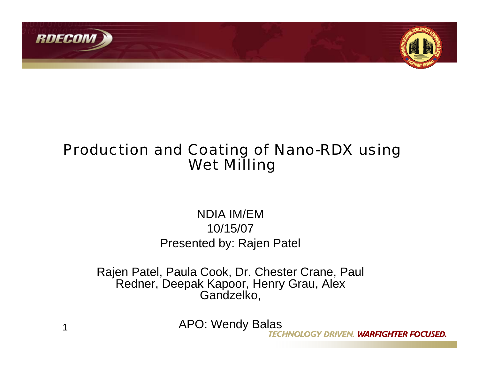



# Production and Coating of Nano-RDX using Wet Milling

### NDIA IM/EM10/15/07Presented by: Rajen Patel

Rajen Patel, Paula Cook, Dr. Chester Crane, Paul Redner, Deepak Kapoor, Henry Grau, Alex Gandzelko,

APO: Wendy Balas

HNOLOGY DRIVEN. WARFIGHTER FOCUSED.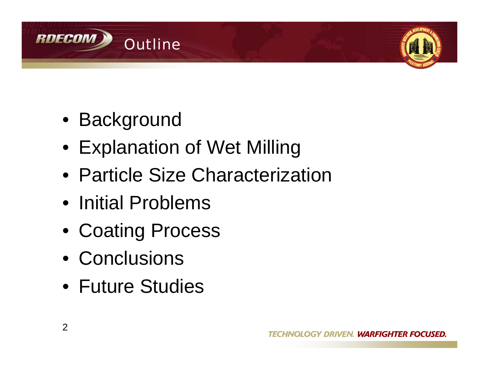



- Background
- Explanation of Wet Milling
- Particle Size Characterization
- Initial Problems
- Coating Process
- Conclusions
- Future Studies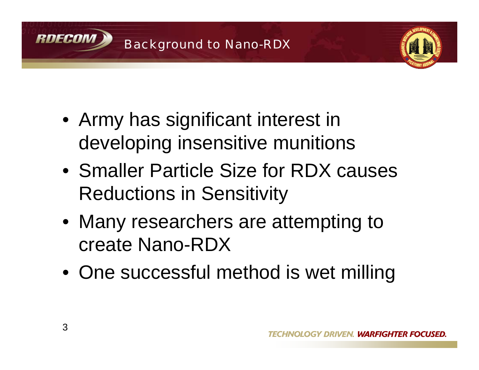



- Army has significant interest in developing insensitive munitions
- Smaller Particle Size for RDX causes Reductions in Sensitivity
- Many researchers are attempting to create Nano-RDX
- One successful method is wet milling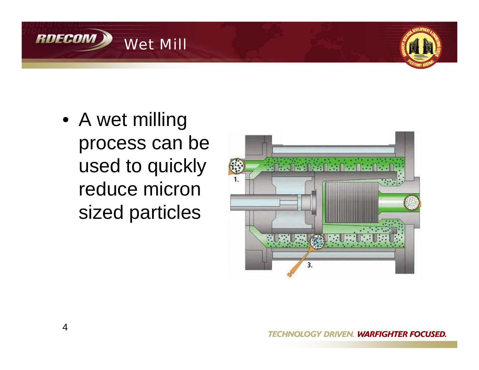



• A wet milling process can be used to quickly reduce micron sized particles

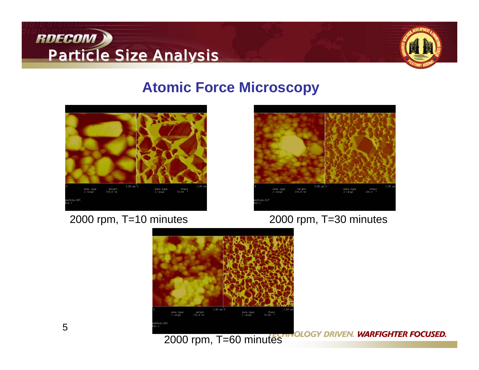



### **Atomic Force Microscopy**



#### 2000 rpm, T=10 minutes



#### 2000 rpm, T=30 minutes



**GY DRIVEN. WARFIGHTER FOCUSED.**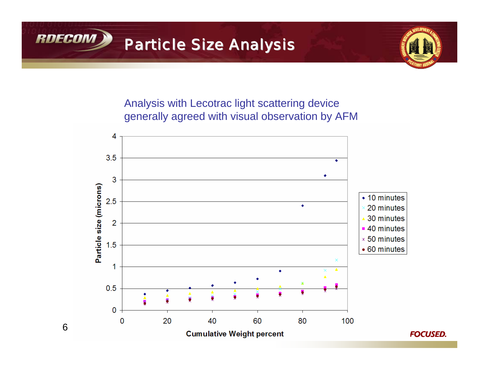



Analysis with Lecotrac light scattering device generally agreed with visual observation by AFM



6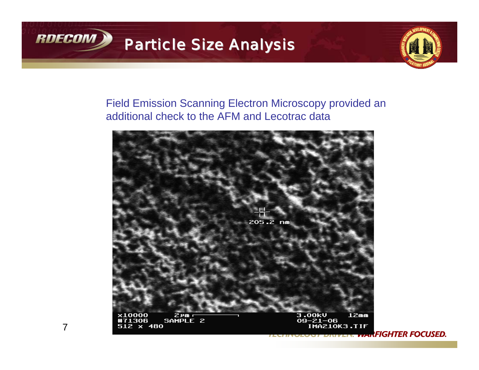



#### Field Emission Scanning Electron Microscopy provided an additional check to the AFM and Lecotrac data



7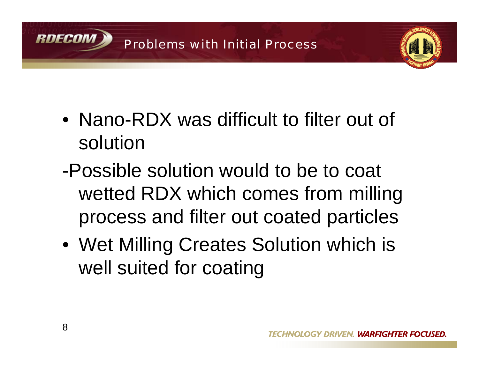



- Nano-RDX was difficult to filter out of solution
- -Possible solution would to be to coat wetted RDX which comes from milling process and filter out coated particles
- Wet Milling Creates Solution which is well suited for coating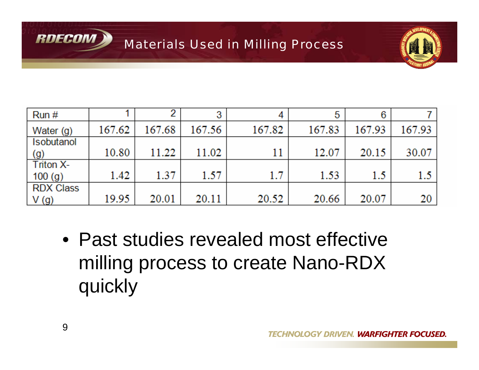



| Run#                       |        |        | ≏      | 4      | 5      | 6      |                  |
|----------------------------|--------|--------|--------|--------|--------|--------|------------------|
| Water (g)                  | 167.62 | 167.68 | 167.56 | 167.82 | 167.83 | 167.93 | 167.93           |
| Isobutanol<br>(g)          | 10.80  | 11.22  | 11.02  | 11     | 12.07  | 20.15  | 30.07            |
| <b>Triton X-</b><br>100(g) | 1.42   | 1.37   | 1.57   | 1.7    | 1.53   | 1.5    | 1.5 <sub>1</sub> |
| <b>RDX Class</b><br>V(g)   | 19.95  | 20.01  | 20.11  | 20.52  | 20.66  | 20.07  | 20 I             |

• Past studies revealed most effective milling process to create Nano-RDX quickly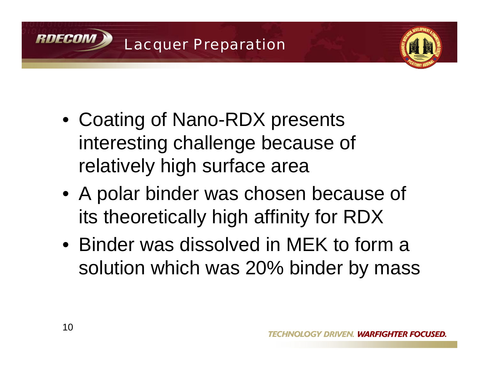



- Coating of Nano-RDX presents interesting challenge because of relatively high surface area
- A polar binder was chosen because of its theoretically high affinity for RDX
- Binder was dissolved in MEK to form a solution which was 20% binder by mass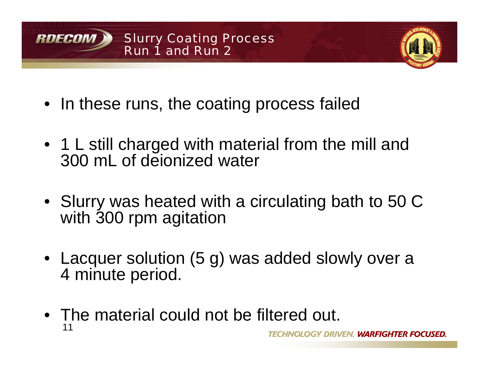



- In these runs, the coating process failed
- 1 L still charged with material from the mill and 300 mL of deionized water
- Slurry was heated with a circulating bath to 50 C with 300 rpm agitation
- Lacquer solution (5 g) was added slowly over a 4 minute period.
- 11• The material could not be filtered out.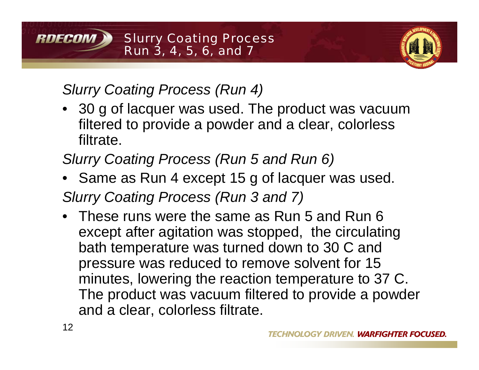

# *Slurry Coating Process (Run 4)*

- 30 g of lacquer was used. The product was vacuum filtered to provide a powder and a clear, colorless filtrate.
- *Slurry Coating Process (Run 5 and Run 6)*
- Same as Run 4 except 15 g of lacquer was used. *Slurry Coating Process (Run 3 and 7)*
- These runs were the same as Run 5 and Run 6 except after agitation was stopped, the circulating bath temperature was turned down to 30 C and pressure was reduced to remove solvent for 15 minutes, lowering the reaction temperature to 37 C. The product was vacuum filtered to provide a powder and a clear, colorless filtrate.

RNFCAM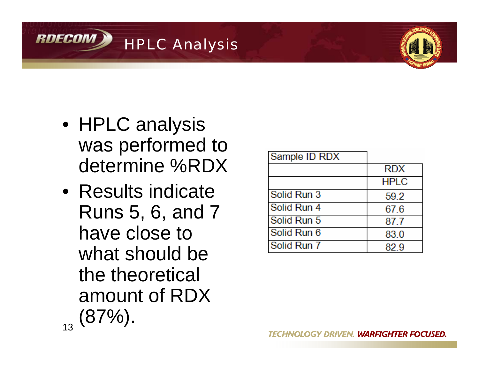



- HPLC analysis was performed to determine %RDX
- 13• Results indicate Runs 5, 6, and 7 have close to what should be the theoretical amount of RDX  $(87\%)$ .

| Sample ID RDX      |             |
|--------------------|-------------|
|                    | <b>RDX</b>  |
|                    | <b>HPLC</b> |
| <b>Solid Run 3</b> | 59.2        |
| Solid Run 4        | 67.6        |
| Solid Run 5        | 87.7        |
| Solid Run 6        | 83.0        |
| Solid Run 7        | 829         |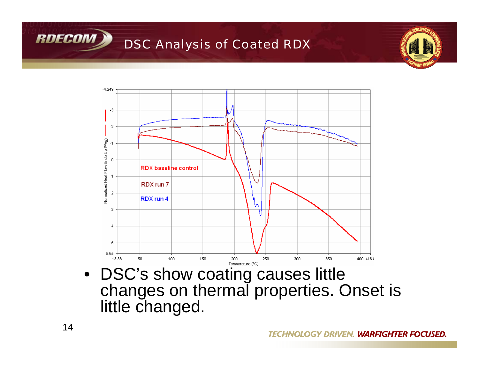

### DSC Analysis of Coated RDX





• DSC's show coating causes little changes on thermal properties. Onset is little changed.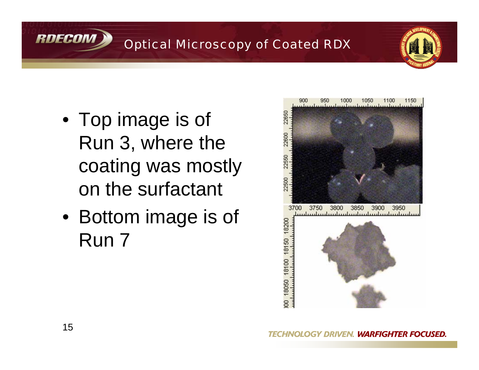

## Optical Microscopy of Coated RDX



- Top image is of Run 3, where the coating was mostly on the surfactant
- Bottom image is of Run 7

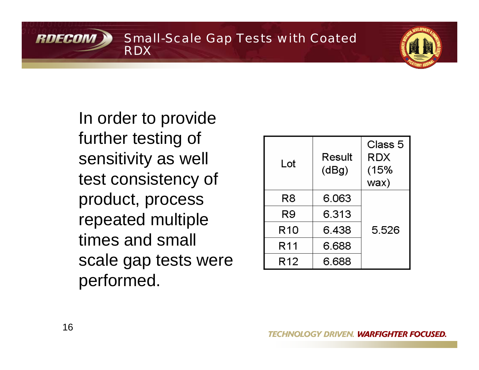Small-Scale Gap Tests with Coated RDX

In order to provide further testing of sensitivity as well test consistency of product, process repeated multiple times and small scale gap tests were performed.

| Lot             | Result<br>(dBg) | Class 5<br><b>RDX</b><br>(15%<br>wax) |
|-----------------|-----------------|---------------------------------------|
| R8              | 6.063           |                                       |
| R9              | 6.313           |                                       |
| R <sub>10</sub> | 6.438           | 5.526                                 |
| R <sub>11</sub> | 6.688           |                                       |
| R <sub>12</sub> | 6.688           |                                       |

RDECON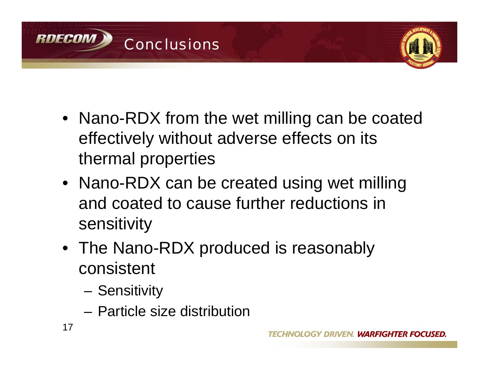



- Nano-RDX from the wet milling can be coated effectively without adverse effects on its thermal properties
- Nano-RDX can be created using wet milling and coated to cause further reductions in sensitivity
- The Nano-RDX produced is reasonably consistent
	- Sensitivity
	- Particle size distribution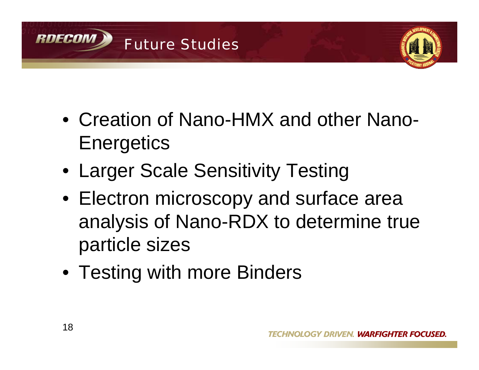



- Creation of Nano-HMX and other Nano-**Energetics**
- Larger Scale Sensitivity Testing
- Electron microscopy and surface area analysis of Nano-RDX to determine true particle sizes
- Testing with more Binders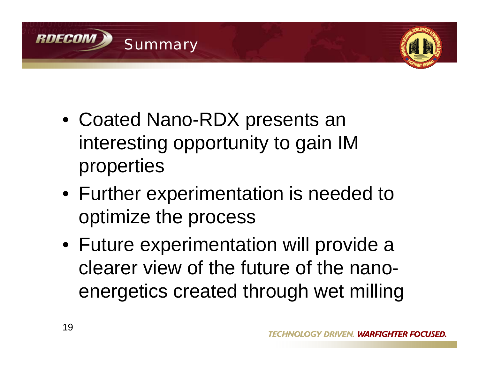



- Coated Nano-RDX presents an interesting opportunity to gain IM properties
- Further experimentation is needed to optimize the process
- Future experimentation will provide a clearer view of the future of the nanoenergetics created through wet milling